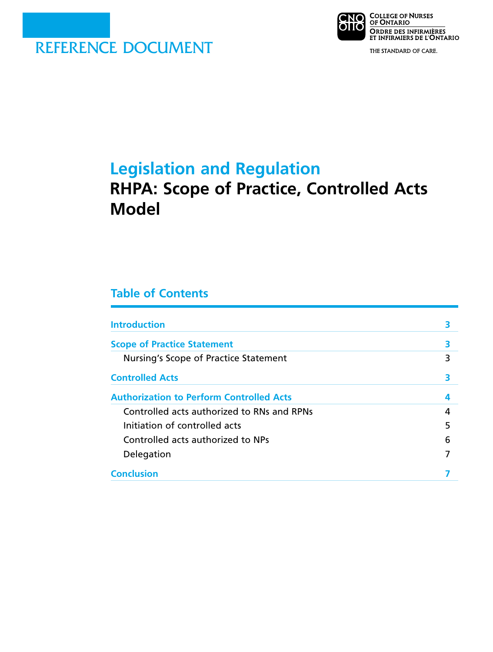

**NO COLLEGE OF NURSES** DIIO ORDRE DES INFIRMIÈRES<br>ET INFIRMIERS DE L'ONTARIO

THE STANDARD OF CARE.

# **Legislation and Regulation**

# **RHPA: Scope of Practice, Controlled Acts Model**

# **Table of Contents**

| <b>Introduction</b>                             |   |
|-------------------------------------------------|---|
| <b>Scope of Practice Statement</b>              |   |
| Nursing's Scope of Practice Statement           | 3 |
| <b>Controlled Acts</b>                          |   |
| <b>Authorization to Perform Controlled Acts</b> | 4 |
| Controlled acts authorized to RNs and RPNs      | 4 |
| Initiation of controlled acts                   | 5 |
| Controlled acts authorized to NPs               | 6 |
| Delegation                                      |   |
| <b>Conclusion</b>                               |   |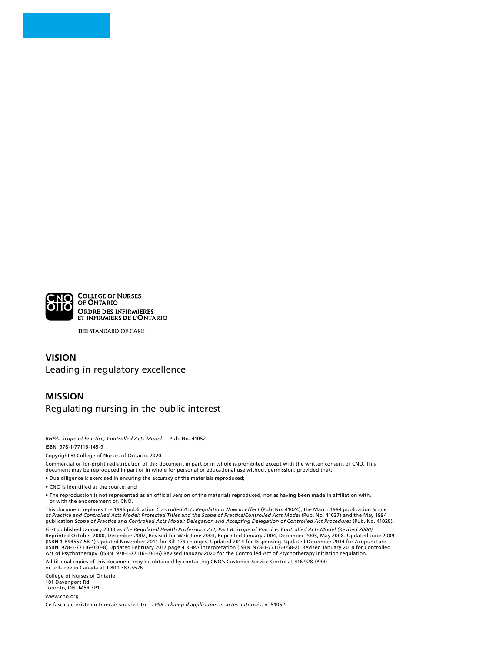

THE STANDARD OF CARE.

### **VISION**  Leading in regulatory excellence

## **MISSION**  Regulating nursing in the public interest

*RHPA: Scope of Practice, Controlled Acts Model* Pub. No. 41052

ISBN 978-1-77116-145-9

Copyright © College of Nurses of Ontario, 2020.

Commercial or for-profit redistribution of this document in part or in whole is prohibited except with the written consent of CNO. This document may be reproduced in part or in whole for personal or educational use without permission, provided that:

• Due diligence is exercised in ensuring the accuracy of the materials reproduced;

• CNO is identified as the source; and

• The reproduction is not represented as an official version of the materials reproduced, nor as having been made in affiliation with, or with the endorsement of, CNO.

This document replaces the 1996 publication Controlled Acts Regulations Now in Effect (Pub. No. 41024), the March 1994 publication Scope<br>of Practice and Controlled Acts Model: Protected Titles and the Scope of Practice/Con publication *Scope of Practice and Controlled Acts Model: Delegation and Accepting Delegation of Controlled Act Procedures* (Pub. No. 41028).

First published January 2000 as *The Regulated Health Professions Act, Part B: Scope of Practice, Controlled Acts Model (Revised 2000)*  Reprinted October 2000, December 2002, Revised for Web June 2003, Reprinted January 2004, December 2005, May 2008. Updated June 2009<br>(ISBN 1-894557-58-1) Updated November 2011 for Bill 179 changes. Updated 2014 for Dispens Act of Psychotherapy. (ISBN 978-1-77116-104-6) Revised January 2020 for the Controlled Act of Psychotherapy initiation regulation.

Additional copies of this document may be obtained by contacting CNO's Customer Service Centre at 416 928-0900 or toll-free in Canada at 1 800 387-5526.

College of Nurses of Ontario 101 Davenport Rd. Toronto, ON M5R 3P1

www.cno.org

Ce fascicule existe en français sous le titre : *LPSR : champ d'application et actes autorisés*, n° 51052.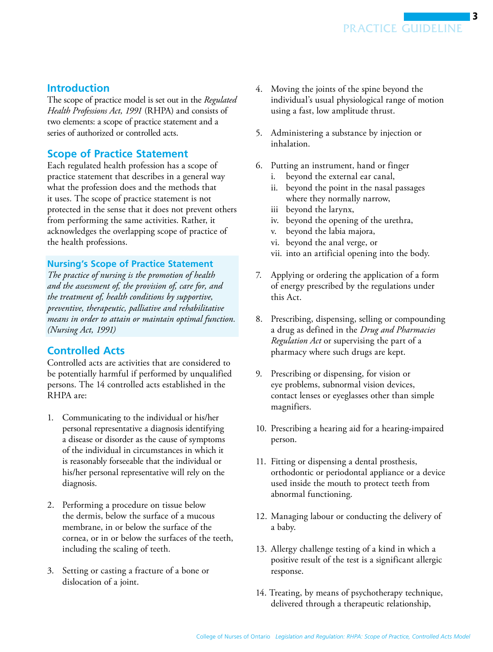# <span id="page-2-0"></span>**Introduction**

The scope of practice model is set out in the *Regulated Health Professions Act, 1991* (RHPA) and consists of two elements: a scope of practice statement and a series of authorized or controlled acts.

## **Scope of Practice Statement**

Each regulated health profession has a scope of practice statement that describes in a general way what the profession does and the methods that it uses. The scope of practice statement is not protected in the sense that it does not prevent others from performing the same activities. Rather, it acknowledges the overlapping scope of practice of the health professions.

## **Nursing's Scope of Practice Statement**

*The practice of nursing is the promotion of health and the assessment of, the provision of, care for, and the treatment of, health conditions by supportive, preventive, therapeutic, palliative and rehabilitative means in order to attain or maintain optimal function. (Nursing Act, 1991)* 

## **Controlled Acts**

Controlled acts are activities that are considered to be potentially harmful if performed by unqualified persons. The 14 controlled acts established in the RHPA are:

- 1. Communicating to the individual or his/her personal representative a diagnosis identifying a disease or disorder as the cause of symptoms of the individual in circumstances in which it is reasonably forseeable that the individual or his/her personal representative will rely on the diagnosis.
- 2. Performing a procedure on tissue below the dermis, below the surface of a mucous membrane, in or below the surface of the cornea, or in or below the surfaces of the teeth, including the scaling of teeth.
- 3. Setting or casting a fracture of a bone or dislocation of a joint.
- 4. Moving the joints of the spine beyond the individual's usual physiological range of motion using a fast, low amplitude thrust.
- 5. Administering a substance by injection or inhalation.
- 6. Putting an instrument, hand or finger
	- i. beyond the external ear canal,
	- ii. beyond the point in the nasal passages where they normally narrow,
	- iii beyond the larynx,
	- iv. beyond the opening of the urethra,
	- v. beyond the labia majora,
	- vi. beyond the anal verge, or
	- vii. into an artificial opening into the body.
- 7. Applying or ordering the application of a form of energy prescribed by the regulations under this Act.
- 8. Prescribing, dispensing, selling or compounding a drug as defined in the *Drug and Pharmacies Regulation Act* or supervising the part of a pharmacy where such drugs are kept.
- 9. Prescribing or dispensing, for vision or eye problems, subnormal vision devices, contact lenses or eyeglasses other than simple magnifiers.
- 10. Prescribing a hearing aid for a hearing-impaired person.
- 11. Fitting or dispensing a dental prosthesis, orthodontic or periodontal appliance or a device used inside the mouth to protect teeth from abnormal functioning.
- 12. Managing labour or conducting the delivery of a baby.
- 13. Allergy challenge testing of a kind in which a positive result of the test is a significant allergic response.
- 14. Treating, by means of psychotherapy technique, delivered through a therapeutic relationship,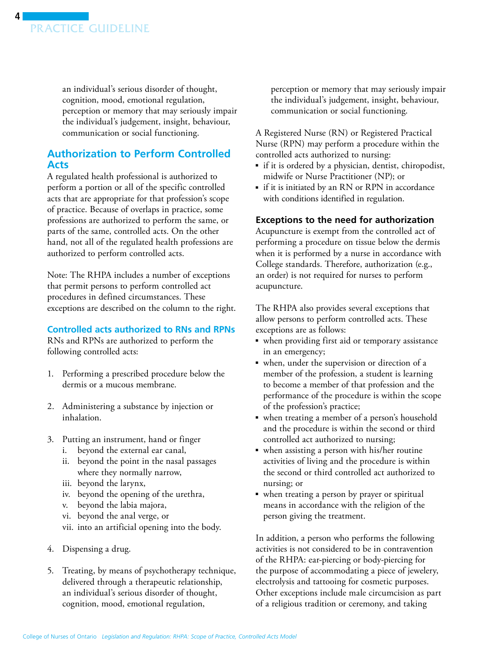<span id="page-3-0"></span>

an individual's serious disorder of thought, cognition, mood, emotional regulation, perception or memory that may seriously impair the individual's judgement, insight, behaviour, communication or social functioning.

## **Authorization to Perform Controlled Acts**

A regulated health professional is authorized to perform a portion or all of the specific controlled acts that are appropriate for that profession's scope of practice. Because of overlaps in practice, some professions are authorized to perform the same, or parts of the same, controlled acts. On the other hand, not all of the regulated health professions are authorized to perform controlled acts.

Note: The RHPA includes a number of exceptions that permit persons to perform controlled act procedures in defined circumstances. These exceptions are described on the column to the right.

#### **Controlled acts authorized to RNs and RPNs**

RNs and RPNs are authorized to perform the following controlled acts:

- 1. Performing a prescribed procedure below the dermis or a mucous membrane.
- 2. Administering a substance by injection or inhalation.
- 3. Putting an instrument, hand or finger
	- i. beyond the external ear canal,
	- ii. beyond the point in the nasal passages where they normally narrow,
	- iii. beyond the larynx,
	- iv. beyond the opening of the urethra,
	- v. beyond the labia majora,
	- vi. beyond the anal verge, or
	- vii. into an artificial opening into the body.
- 4. Dispensing a drug.
- 5. Treating, by means of psychotherapy technique, delivered through a therapeutic relationship, an individual's serious disorder of thought, cognition, mood, emotional regulation,

perception or memory that may seriously impair the individual's judgement, insight, behaviour, communication or social functioning.

A Registered Nurse (RN) or Registered Practical Nurse (RPN) may perform a procedure within the controlled acts authorized to nursing:

- if it is ordered by a physician, dentist, chiropodist, midwife or Nurse Practitioner (NP); or
- if it is initiated by an RN or RPN in accordance with conditions identified in regulation.

#### **Exceptions to the need for authorization**

Acupuncture is exempt from the controlled act of performing a procedure on tissue below the dermis when it is performed by a nurse in accordance with College standards. Therefore, authorization (e.g., an order) is not required for nurses to perform acupuncture.

The RHPA also provides several exceptions that allow persons to perform controlled acts. These exceptions are as follows:

- when providing first aid or temporary assistance in an emergency;
- when, under the supervision or direction of a member of the profession, a student is learning to become a member of that profession and the performance of the procedure is within the scope of the profession's practice;
- ■ when treating a member of a person's household and the procedure is within the second or third controlled act authorized to nursing;
- ■ when assisting a person with his/her routine activities of living and the procedure is within the second or third controlled act authorized to nursing; or
- when treating a person by prayer or spiritual means in accordance with the religion of the person giving the treatment.

In addition, a person who performs the following activities is not considered to be in contravention of the RHPA: ear-piercing or body-piercing for the purpose of accommodating a piece of jewelery, electrolysis and tattooing for cosmetic purposes. Other exceptions include male circumcision as part of a religious tradition or ceremony, and taking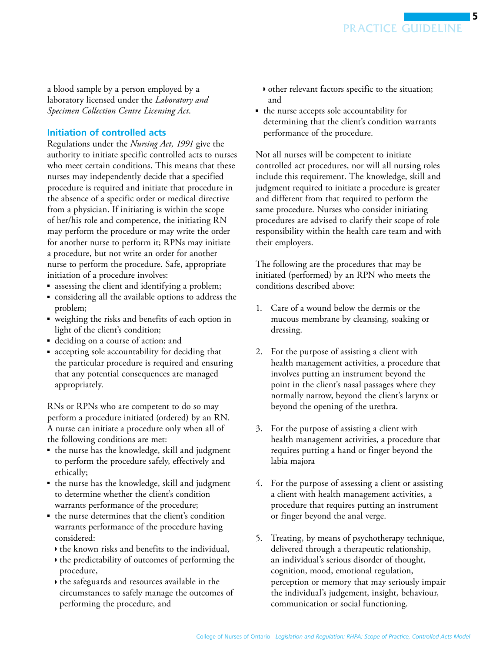<span id="page-4-0"></span>a blood sample by a person employed by a laboratory licensed under the *Laboratory and Specimen Collection Centre Licensing Act*.

#### **Initiation of controlled acts**

Regulations under the *Nursing Act, 1991* give the authority to initiate specific controlled acts to nurses who meet certain conditions. This means that these nurses may independently decide that a specified procedure is required and initiate that procedure in the absence of a specific order or medical directive from a physician. If initiating is within the scope of her/his role and competence, the initiating RN may perform the procedure or may write the order for another nurse to perform it; RPNs may initiate a procedure, but not write an order for another nurse to perform the procedure. Safe, appropriate initiation of a procedure involves:

- assessing the client and identifying a problem;
- considering all the available options to address the problem;
- weighing the risks and benefits of each option in light of the client's condition;
- deciding on a course of action; and
- accepting sole accountability for deciding that the particular procedure is required and ensuring that any potential consequences are managed appropriately.

RNs or RPNs who are competent to do so may perform a procedure initiated (ordered) by an RN. A nurse can initiate a procedure only when all of the following conditions are met:

- the nurse has the knowledge, skill and judgment to perform the procedure safely, effectively and ethically;
- the nurse has the knowledge, skill and judgment to determine whether the client's condition warrants performance of the procedure;
- the nurse determines that the client's condition warrants performance of the procedure having considered:
	- ◗ the known risks and benefits to the individual,
	- ◗ the predictability of outcomes of performing the procedure,
	- ◗ the safeguards and resources available in the circumstances to safely manage the outcomes of performing the procedure, and
- ◗ other relevant factors specific to the situation; and
- the nurse accepts sole accountability for determining that the client's condition warrants performance of the procedure.

Not all nurses will be competent to initiate controlled act procedures, nor will all nursing roles include this requirement. The knowledge, skill and judgment required to initiate a procedure is greater and different from that required to perform the same procedure. Nurses who consider initiating procedures are advised to clarify their scope of role responsibility within the health care team and with their employers.

The following are the procedures that may be initiated (performed) by an RPN who meets the conditions described above:

- 1. Care of a wound below the dermis or the mucous membrane by cleansing, soaking or dressing.
- 2. For the purpose of assisting a client with health management activities, a procedure that involves putting an instrument beyond the point in the client's nasal passages where they normally narrow, beyond the client's larynx or beyond the opening of the urethra.
- 3. For the purpose of assisting a client with health management activities, a procedure that requires putting a hand or finger beyond the labia majora
- 4. For the purpose of assessing a client or assisting a client with health management activities, a procedure that requires putting an instrument or finger beyond the anal verge.
- 5. Treating, by means of psychotherapy technique, delivered through a therapeutic relationship, an individual's serious disorder of thought, cognition, mood, emotional regulation, perception or memory that may seriously impair the individual's judgement, insight, behaviour, communication or social functioning.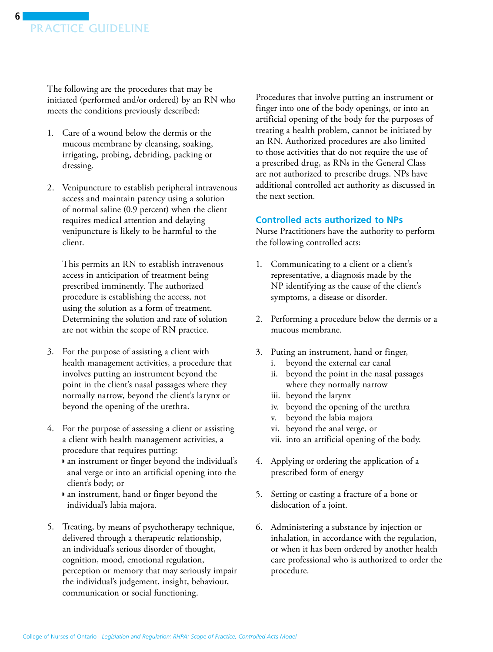<span id="page-5-0"></span>The following are the procedures that may be initiated (performed and/or ordered) by an RN who meets the conditions previously described:

- 1. Care of a wound below the dermis or the mucous membrane by cleansing, soaking, irrigating, probing, debriding, packing or dressing.
- 2. Venipuncture to establish peripheral intravenous access and maintain patency using a solution of normal saline (0.9 percent) when the client requires medical attention and delaying venipuncture is likely to be harmful to the client.

This permits an RN to establish intravenous access in anticipation of treatment being prescribed imminently. The authorized procedure is establishing the access, not using the solution as a form of treatment. Determining the solution and rate of solution are not within the scope of RN practice.

- 3. For the purpose of assisting a client with health management activities, a procedure that involves putting an instrument beyond the point in the client's nasal passages where they normally narrow, beyond the client's larynx or beyond the opening of the urethra.
- 4. For the purpose of assessing a client or assisting a client with health management activities, a procedure that requires putting:
	- ◗ an instrument or finger beyond the individual's anal verge or into an artificial opening into the client's body; or
	- ◗ an instrument, hand or finger beyond the individual's labia majora.
- 5. Treating, by means of psychotherapy technique, delivered through a therapeutic relationship, an individual's serious disorder of thought, cognition, mood, emotional regulation, perception or memory that may seriously impair the individual's judgement, insight, behaviour, communication or social functioning.

Procedures that involve putting an instrument or finger into one of the body openings, or into an artificial opening of the body for the purposes of treating a health problem, cannot be initiated by an RN. Authorized procedures are also limited to those activities that do not require the use of a prescribed drug, as RNs in the General Class are not authorized to prescribe drugs. NPs have additional controlled act authority as discussed in the next section.

### **Controlled acts authorized to NPs**

Nurse Practitioners have the authority to perform the following controlled acts:

- 1. Communicating to a client or a client's representative, a diagnosis made by the NP identifying as the cause of the client's symptoms, a disease or disorder.
- 2. Performing a procedure below the dermis or a mucous membrane.
- 3. Puting an instrument, hand or finger,
	- i. beyond the external ear canal
	- ii. beyond the point in the nasal passages where they normally narrow
	- iii. beyond the larynx
	- iv. beyond the opening of the urethra
	- v. beyond the labia majora
	- vi. beyond the anal verge, or
	- vii. into an artificial opening of the body.
- 4. Applying or ordering the application of a prescribed form of energy
- 5. Setting or casting a fracture of a bone or dislocation of a joint.
- 6. Administering a substance by injection or inhalation, in accordance with the regulation, or when it has been ordered by another health care professional who is authorized to order the procedure.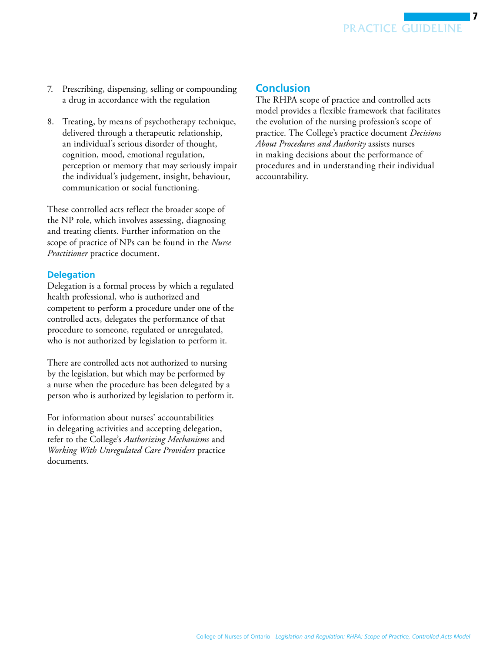- <span id="page-6-0"></span>7. Prescribing, dispensing, selling or compounding a drug in accordance with the regulation
- 8. Treating, by means of psychotherapy technique, delivered through a therapeutic relationship, an individual's serious disorder of thought, cognition, mood, emotional regulation, perception or memory that may seriously impair the individual's judgement, insight, behaviour, communication or social functioning.

These controlled acts reflect the broader scope of the NP role, which involves assessing, diagnosing and treating clients. Further information on the scope of practice of NPs can be found in the *Nurse Practitioner* practice document.

#### **Delegation**

Delegation is a formal process by which a regulated health professional, who is authorized and competent to perform a procedure under one of the controlled acts, delegates the performance of that procedure to someone, regulated or unregulated, who is not authorized by legislation to perform it.

There are controlled acts not authorized to nursing by the legislation, but which may be performed by a nurse when the procedure has been delegated by a person who is authorized by legislation to perform it.

For information about nurses' accountabilities in delegating activities and accepting delegation, refer to the College's *Authorizing Mechanisms* and *Working With Unregulated Care Providers* practice documents.

## **Conclusion**

The RHPA scope of practice and controlled acts model provides a flexible framework that facilitates the evolution of the nursing profession's scope of practice. The College's practice document *Decisions About Procedures and Authority* assists nurses in making decisions about the performance of procedures and in understanding their individual accountability.